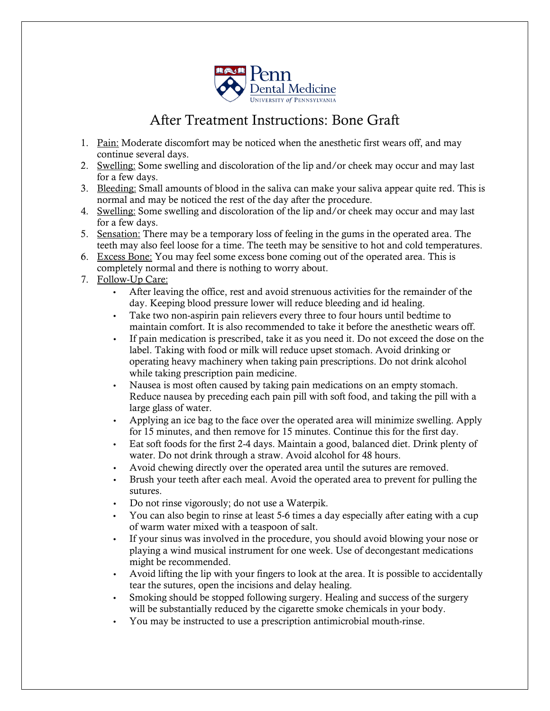

## After Treatment Instructions: Bone Graft

- 1. Pain: Moderate discomfort may be noticed when the anesthetic first wears off, and may continue several days.
- 2. Swelling: Some swelling and discoloration of the lip and/or cheek may occur and may last for a few days.
- 3. Bleeding: Small amounts of blood in the saliva can make your saliva appear quite red. This is normal and may be noticed the rest of the day after the procedure.
- 4. Swelling: Some swelling and discoloration of the lip and/or cheek may occur and may last for a few days.
- 5. Sensation: There may be a temporary loss of feeling in the gums in the operated area. The teeth may also feel loose for a time. The teeth may be sensitive to hot and cold temperatures.
- 6. Excess Bone: You may feel some excess bone coming out of the operated area. This is completely normal and there is nothing to worry about.
- 7. Follow-Up Care:
	- After leaving the office, rest and avoid strenuous activities for the remainder of the day. Keeping blood pressure lower will reduce bleeding and id healing.
	- Take two non-aspirin pain relievers every three to four hours until bedtime to maintain comfort. It is also recommended to take it before the anesthetic wears off.
	- If pain medication is prescribed, take it as you need it. Do not exceed the dose on the label. Taking with food or milk will reduce upset stomach. Avoid drinking or operating heavy machinery when taking pain prescriptions. Do not drink alcohol while taking prescription pain medicine.
	- Nausea is most often caused by taking pain medications on an empty stomach. Reduce nausea by preceding each pain pill with soft food, and taking the pill with a large glass of water.
	- Applying an ice bag to the face over the operated area will minimize swelling. Apply for 15 minutes, and then remove for 15 minutes. Continue this for the first day.
	- Eat soft foods for the first 2-4 days. Maintain a good, balanced diet. Drink plenty of water. Do not drink through a straw. Avoid alcohol for 48 hours.
	- Avoid chewing directly over the operated area until the sutures are removed.
	- Brush your teeth after each meal. Avoid the operated area to prevent for pulling the sutures.
	- Do not rinse vigorously; do not use a Waterpik.
	- You can also begin to rinse at least 5-6 times a day especially after eating with a cup of warm water mixed with a teaspoon of salt.
	- If your sinus was involved in the procedure, you should avoid blowing your nose or playing a wind musical instrument for one week. Use of decongestant medications might be recommended.
	- Avoid lifting the lip with your fingers to look at the area. It is possible to accidentally tear the sutures, open the incisions and delay healing.
	- Smoking should be stopped following surgery. Healing and success of the surgery will be substantially reduced by the cigarette smoke chemicals in your body.
	- You may be instructed to use a prescription antimicrobial mouth-rinse.